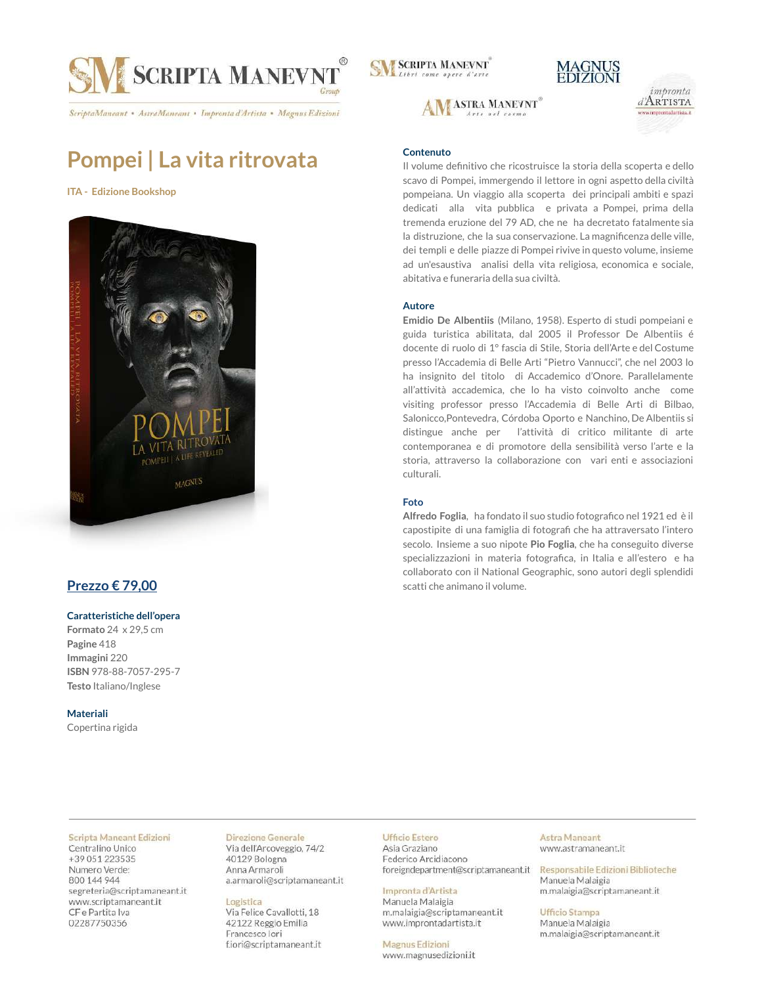

ScriptaManeant • AstraManeant • Impronta d'Artista • Magnus Edizioni

## **Pompei | La vita ritrovata**

**ITA - Edizione Bookshop**



## **Prezzo € 79,00**

### **Caratteristiche dell'opera**

**Formato** 24 x 29,5 cm **Pagine** 418 **Immagini** 220 **ISBN** 978-88-7057-295-7 **Testo** Italiano/Inglese

**Materiali** Copertina rigida

#### Scripta Maneant Edizioni

Centralino Unico +39 051 223535 Numero Verde: 800 144 944 segreteria@scriptamaneant.it www.scriptamaneant.it CF e Partita Iva 02287750356

### Direzione Generale

Via dell'Arcoveggio, 74/2 40129 Bologna Anna Armaroli a.armaroli@scriptamaneant.it

### Logistica

Via Felice Cavallotti, 18 42122 Reggio Emilia Francesco lori f.iori@scriptamaneant.it **SM SCRIPTA MANEVNT** 







### **Contenuto**

Il volume definitivo che ricostruisce la storia della scoperta e dello scavo di Pompei, immergendo il lettore in ogni aspetto della civiltà pompeiana. Un viaggio alla scoperta dei principali ambiti e spazi dedicati alla vita pubblica e privata a Pompei, prima della tremenda eruzione del 79 AD, che ne ha decretato fatalmente sia la distruzione, che la sua conservazione. La magnificenza delle ville, dei templi e delle piazze di Pompei rivive in questo volume, insieme ad un'esaustiva analisi della vita religiosa, economica e sociale, abitativa e funeraria della sua civiltà.

### **Autore**

**Emidio De Albentiis** (Milano, 1958). Esperto di studi pompeiani e guida turistica abilitata, dal 2005 il Professor De Albentiis é docente di ruolo di 1° fascia di Stile, Storia dell'Arte e del Costume presso l'Accademia di Belle Arti "Pietro Vannucci", che nel 2003 lo ha insignito del titolo di Accademico d'Onore. Parallelamente all'attività accademica, che lo ha visto coinvolto anche come visiting professor presso l'Accademia di Belle Arti di Bilbao, Salonicco,Pontevedra, Córdoba Oporto e Nanchino, De Albentiis si distingue anche per l'attività di critico militante di arte contemporanea e di promotore della sensibilità verso l'arte e la storia, attraverso la collaborazione con vari enti e associazioni culturali.

### **Foto**

**Alfredo Foglia**, ha fondato il suo studio fotografico nel 1921 ed è il capostipite di una famiglia di fotografi che ha attraversato l'intero secolo. Insieme a suo nipote **Pio Foglia**, che ha conseguito diverse specializzazioni in materia fotografica, in Italia e all'estero e ha collaborato con il National Geographic, sono autori degli splendidi scatti che animano il volume.

### **Ufficio Estero**

Asia Graziano Federico Arcidiacono foreigndepartment@scriptamaneant.it

### Impronta d'Artista

Manuela Malaigia m.malaigia@scriptamaneant.it www.improntadartista.it

**Magnus Edizioni** www.magnusedizioni.it

#### **Astra Maneant** www.astramaneant.it

Responsabile Edizioni Biblioteche Manuela Malaigia m.malaigia@scriptamaneant.it

**Ufficio Stampa** Manuela Malaigia m.malaigia@scriptamaneant.it